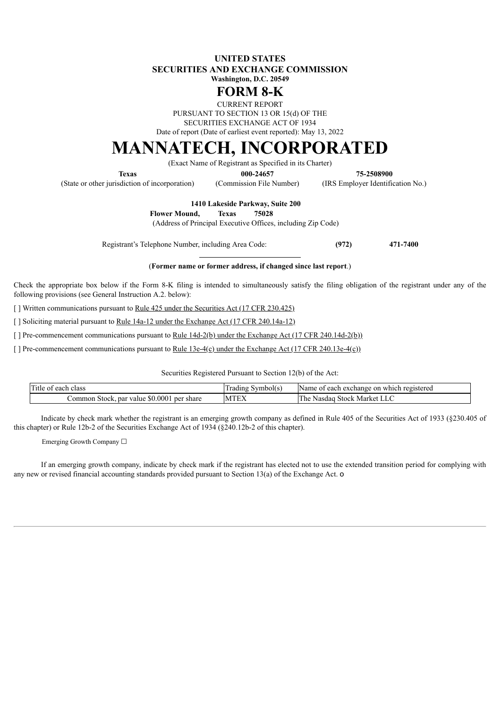## **UNITED STATES SECURITIES AND EXCHANGE COMMISSION Washington, D.C. 20549**

# **FORM 8-K**

CURRENT REPORT PURSUANT TO SECTION 13 OR 15(d) OF THE SECURITIES EXCHANGE ACT OF 1934

Date of report (Date of earliest event reported): May 13, 2022

# **MANNATECH, INCORPORATED**

(Exact Name of Registrant as Specified in its Charter)

**Texas 000-24657 75-2508900**

(State or other jurisdiction of incorporation) (Commission File Number) (IRS Employer Identification No.)

**1410 Lakeside Parkway, Suite 200**

**Flower Mound, Texas 75028**

(Address of Principal Executive Offices, including Zip Code)

Registrant's Telephone Number, including Area Code: **(972) 471-7400**

(**Former name or former address, if changed since last report**.)

Check the appropriate box below if the Form 8-K filing is intended to simultaneously satisfy the filing obligation of the registrant under any of the following provisions (see General Instruction A.2. below):

[ ] Written communications pursuant to Rule 425 under the Securities Act (17 CFR 230.425)

[ ] Soliciting material pursuant to <u>Rule 14a-12 under the Exchange Act (17 CFR 240.14a-12)</u>

[ ] Pre-commencement communications pursuant to Rule 14d-2(b) under the Exchange Act (17 CFR 240.14d-2(b))

[ ] Pre-commencement communications pursuant to <u>Rule 13e-4(c) under the Exchange Act (17 CFR 240.13e-4(c)</u>)

Securities Registered Pursuant to Section 12(b) of the Act:

| <b>CONTRACTOR</b><br>Title<br>1 class<br>each<br>` 01         | Trading<br>Symbol(s) | Name of<br>i registered<br>each exchange<br>: on<br>which |
|---------------------------------------------------------------|----------------------|-----------------------------------------------------------|
| \$0,0001<br>∠ommon<br>share<br>. per<br>. Stock. par<br>value | <b>MTEX</b>          | The<br>Market<br><b>Stock</b><br>Nasdao<br>$\mathbf{L}$   |

Indicate by check mark whether the registrant is an emerging growth company as defined in Rule 405 of the Securities Act of 1933 (§230.405 of this chapter) or Rule 12b-2 of the Securities Exchange Act of 1934 (§240.12b-2 of this chapter).

Emerging Growth Company ☐

If an emerging growth company, indicate by check mark if the registrant has elected not to use the extended transition period for complying with any new or revised financial accounting standards provided pursuant to Section 13(a) of the Exchange Act. o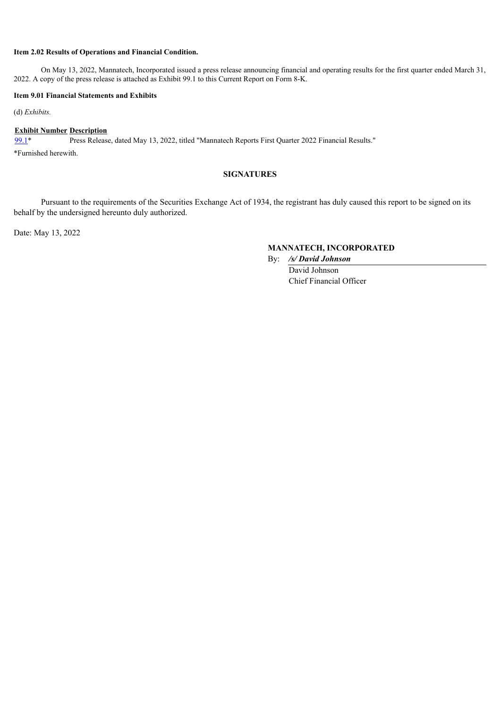## **Item 2.02 Results of Operations and Financial Condition.**

On May 13, 2022, Mannatech, Incorporated issued a press release announcing financial and operating results for the first quarter ended March 31, 2022. A copy of the press release is attached as Exhibit 99.1 to this Current Report on Form 8-K.

#### **Item 9.01 Financial Statements and Exhibits**

(d) *Exhibits.*

#### **Exhibit Number Description**

[99.1](#page-2-0)\* Press Release, dated May 13, 2022, titled "Mannatech Reports First Quarter 2022 Financial Results."

\*Furnished herewith.

# **SIGNATURES**

Pursuant to the requirements of the Securities Exchange Act of 1934, the registrant has duly caused this report to be signed on its behalf by the undersigned hereunto duly authorized.

Date: May 13, 2022

# **MANNATECH, INCORPORATED**

By: */s/ David Johnson* David Johnson Chief Financial Officer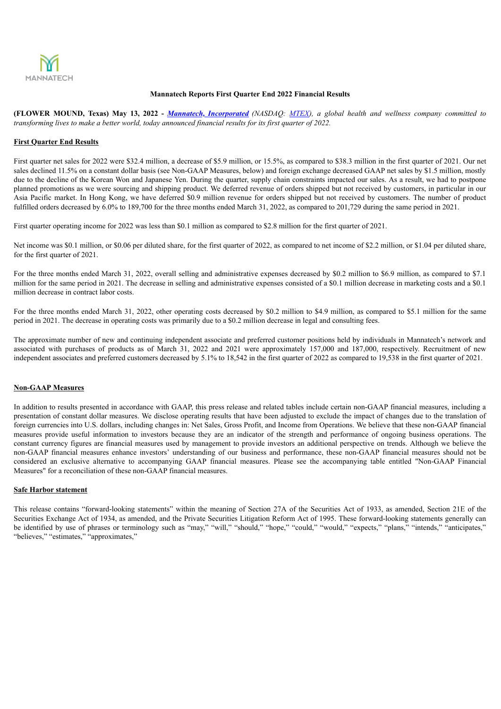<span id="page-2-0"></span>

#### **Mannatech Reports First Quarter End 2022 Financial Results**

(FLOWER MOUND, Texas) May 13, 2022 - Mannatech, Incorporated (NASDAQ: MTEX), a global health and wellness company committed to transforming lives to make a better world, today announced financial results for its first quarter of 2022.

#### **First Quarter End Results**

First quarter net sales for 2022 were \$32.4 million, a decrease of \$5.9 million, or 15.5%, as compared to \$38.3 million in the first quarter of 2021. Our net sales declined 11.5% on a constant dollar basis (see Non-GAAP Measures, below) and foreign exchange decreased GAAP net sales by \$1.5 million, mostly due to the decline of the Korean Won and Japanese Yen. During the quarter, supply chain constraints impacted our sales. As a result, we had to postpone planned promotions as we were sourcing and shipping product. We deferred revenue of orders shipped but not received by customers, in particular in our Asia Pacific market. In Hong Kong, we have deferred \$0.9 million revenue for orders shipped but not received by customers. The number of product fulfilled orders decreased by 6.0% to 189,700 for the three months ended March 31, 2022, as compared to 201,729 during the same period in 2021.

First quarter operating income for 2022 was less than \$0.1 million as compared to \$2.8 million for the first quarter of 2021.

Net income was \$0.1 million, or \$0.06 per diluted share, for the first quarter of 2022, as compared to net income of \$2.2 million, or \$1.04 per diluted share, for the first quarter of 2021.

For the three months ended March 31, 2022, overall selling and administrative expenses decreased by \$0.2 million to \$6.9 million, as compared to \$7.1 million for the same period in 2021. The decrease in selling and administrative expenses consisted of a \$0.1 million decrease in marketing costs and a \$0.1 million decrease in contract labor costs.

For the three months ended March 31, 2022, other operating costs decreased by \$0.2 million to \$4.9 million, as compared to \$5.1 million for the same period in 2021. The decrease in operating costs was primarily due to a \$0.2 million decrease in legal and consulting fees.

The approximate number of new and continuing independent associate and preferred customer positions held by individuals in Mannatech's network and associated with purchases of products as of March 31, 2022 and 2021 were approximately 157,000 and 187,000, respectively. Recruitment of new independent associates and preferred customers decreased by 5.1% to 18,542 in the first quarter of 2022 as compared to 19,538 in the first quarter of 2021.

#### **Non-GAAP Measures**

In addition to results presented in accordance with GAAP, this press release and related tables include certain non-GAAP financial measures, including a presentation of constant dollar measures. We disclose operating results that have been adjusted to exclude the impact of changes due to the translation of foreign currencies into U.S. dollars, including changes in: Net Sales, Gross Profit, and Income from Operations. We believe that these non-GAAP financial measures provide useful information to investors because they are an indicator of the strength and performance of ongoing business operations. The constant currency figures are financial measures used by management to provide investors an additional perspective on trends. Although we believe the non-GAAP financial measures enhance investors' understanding of our business and performance, these non-GAAP financial measures should not be considered an exclusive alternative to accompanying GAAP financial measures. Please see the accompanying table entitled "Non-GAAP Financial Measures" for a reconciliation of these non-GAAP financial measures.

#### **Safe Harbor statement**

This release contains "forward-looking statements" within the meaning of Section 27A of the Securities Act of 1933, as amended, Section 21E of the Securities Exchange Act of 1934, as amended, and the Private Securities Litigation Reform Act of 1995. These forward-looking statements generally can be identified by use of phrases or terminology such as "may," "will," "should," "hope," "could," "would," "expects," "plans," "intends," "anticipates," "believes," "estimates," "approximates,"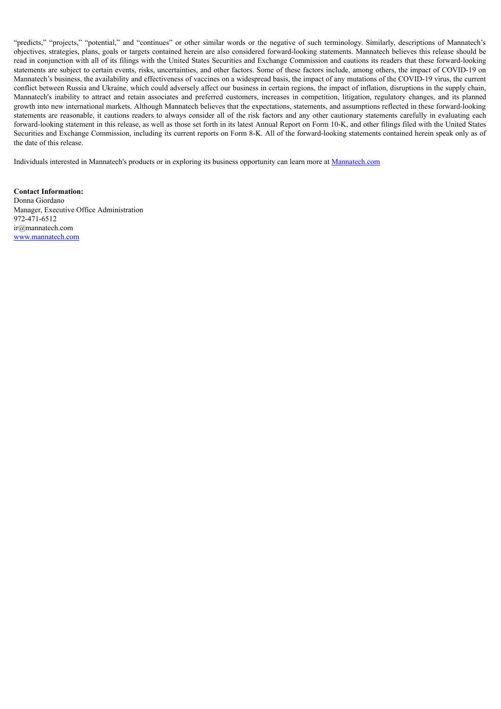"predicts," "projects," "potential," and "continues" or other similar words or the negative of such terminology. Similarly, descriptions of Mannatech's objectives, strategies, plans, goals or targets contained herein are also considered forward-looking statements. Mannatech believes this release should be read in conjunction with all of its filings with the United States Securities and Exchange Commission and cautions its readers that these forward-looking statements are subject to certain events, risks, uncertainties, and other factors. Some of these factors include, among others, the impact of COVID-19 on Mannatech's business, the availability and effectiveness of vaccines on a widespread basis, the impact of any mutations of the COVID-19 virus, the current conflict between Russia and Ukraine, which could adversely affect our business in certain regions, the impact of inflation, disruptions in the supply chain, Mannatech's inability to attract and retain associates and preferred customers, increases in competition, litigation, regulatory changes, and its planned growth into new international markets. Although Mannatech believes that the expectations, statements, and assumptions reflected in these forward-looking statements are reasonable, it cautions readers to always consider all of the risk factors and any other cautionary statements carefully in evaluating each forward-looking statement in this release, as well as those set forth in its latest Annual Report on Form 10-K, and other filings filed with the United States Securities and Exchange Commission, including its current reports on Form 8-K. All of the forward-looking statements contained herein speak only as of the date of this release.

Individuals interested in Mannatech's products or in exploring its business opportunity can learn more at Mannatech.com

**Contact Information:** Donna Giordano Manager, Executive Office Administration 972-471-6512 ir@mannatech.com www.mannatech.com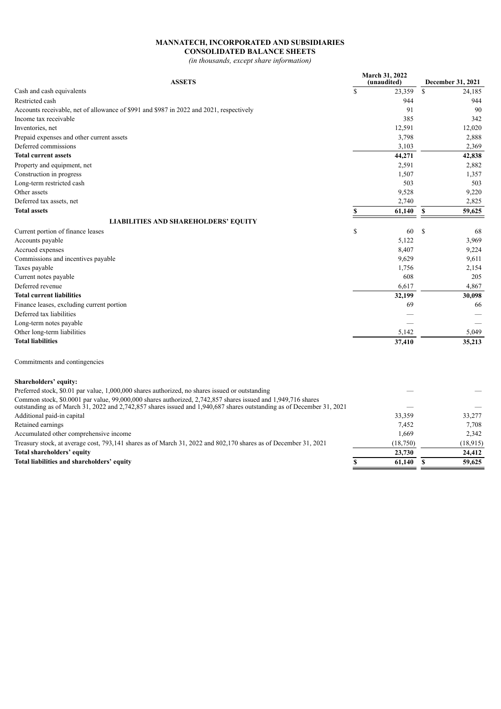## **MANNATECH, INCORPORATED AND SUBSIDIARIES CONSOLIDATED BALANCE SHEETS**

*(in thousands, except share information)*

| <b>ASSETS</b>                                                                                                                                                                                                                                 |             | March 31, 2022<br>(unaudited) | December 31, 2021 |
|-----------------------------------------------------------------------------------------------------------------------------------------------------------------------------------------------------------------------------------------------|-------------|-------------------------------|-------------------|
| Cash and cash equivalents                                                                                                                                                                                                                     | $\mathbf S$ | 23.359                        | \$<br>24.185      |
| Restricted cash                                                                                                                                                                                                                               |             | 944                           | 944               |
| Accounts receivable, net of allowance of \$991 and \$987 in 2022 and 2021, respectively                                                                                                                                                       |             | 91                            | 90                |
| Income tax receivable                                                                                                                                                                                                                         |             | 385                           | 342               |
| Inventories, net                                                                                                                                                                                                                              |             | 12,591                        | 12,020            |
| Prepaid expenses and other current assets                                                                                                                                                                                                     |             | 3,798                         | 2,888             |
| Deferred commissions                                                                                                                                                                                                                          |             | 3,103                         | 2,369             |
| <b>Total current assets</b>                                                                                                                                                                                                                   |             | 44,271                        | 42,838            |
| Property and equipment, net                                                                                                                                                                                                                   |             | 2,591                         | 2,882             |
| Construction in progress                                                                                                                                                                                                                      |             | 1,507                         | 1,357             |
| Long-term restricted cash                                                                                                                                                                                                                     |             | 503                           | 503               |
| Other assets                                                                                                                                                                                                                                  |             | 9,528                         | 9,220             |
| Deferred tax assets, net                                                                                                                                                                                                                      |             | 2,740                         | 2,825             |
| <b>Total assets</b>                                                                                                                                                                                                                           | \$          | 61,140                        | \$<br>59,625      |
| <b>LIABILITIES AND SHAREHOLDERS' EQUITY</b>                                                                                                                                                                                                   |             |                               |                   |
| Current portion of finance leases                                                                                                                                                                                                             | \$          | 60                            | \$<br>68          |
| Accounts payable                                                                                                                                                                                                                              |             | 5,122                         | 3,969             |
| Accrued expenses                                                                                                                                                                                                                              |             | 8,407                         | 9,224             |
| Commissions and incentives payable                                                                                                                                                                                                            |             | 9,629                         | 9,611             |
| Taxes payable                                                                                                                                                                                                                                 |             | 1,756                         | 2,154             |
| Current notes payable                                                                                                                                                                                                                         |             | 608                           | 205               |
| Deferred revenue                                                                                                                                                                                                                              |             | 6,617                         | 4,867             |
| <b>Total current liabilities</b>                                                                                                                                                                                                              |             | 32,199                        | 30,098            |
| Finance leases, excluding current portion                                                                                                                                                                                                     |             | 69                            | 66                |
| Deferred tax liabilities                                                                                                                                                                                                                      |             |                               |                   |
| Long-term notes payable                                                                                                                                                                                                                       |             |                               |                   |
| Other long-term liabilities                                                                                                                                                                                                                   |             | 5,142                         | 5,049             |
| <b>Total liabilities</b>                                                                                                                                                                                                                      |             | 37,410                        | 35,213            |
| Commitments and contingencies                                                                                                                                                                                                                 |             |                               |                   |
| <b>Shareholders' equity:</b>                                                                                                                                                                                                                  |             |                               |                   |
| Preferred stock, \$0.01 par value, 1,000,000 shares authorized, no shares issued or outstanding                                                                                                                                               |             |                               |                   |
| Common stock, \$0.0001 par value, 99,000,000 shares authorized, 2,742,857 shares issued and 1,949,716 shares<br>outstanding as of March $31, 2022$ and $2,742,857$ shares issued and $1,940,687$ shares outstanding as of December $31, 2021$ |             |                               |                   |
| Additional paid-in capital                                                                                                                                                                                                                    |             | 33,359                        | 33,277            |
| Retained earnings                                                                                                                                                                                                                             |             | 7,452                         | 7,708             |
| Accumulated other comprehensive income                                                                                                                                                                                                        |             | 1,669                         | 2,342             |
| Treasury stock, at average cost, 793,141 shares as of March 31, 2022 and 802,170 shares as of December 31, 2021                                                                                                                               |             | (18,750)                      | (18, 915)         |
| Total shareholders' equity                                                                                                                                                                                                                    |             | 23,730                        | 24,412            |
| Total liabilities and shareholders' equity                                                                                                                                                                                                    | \$          | 61,140                        | \$<br>59,625      |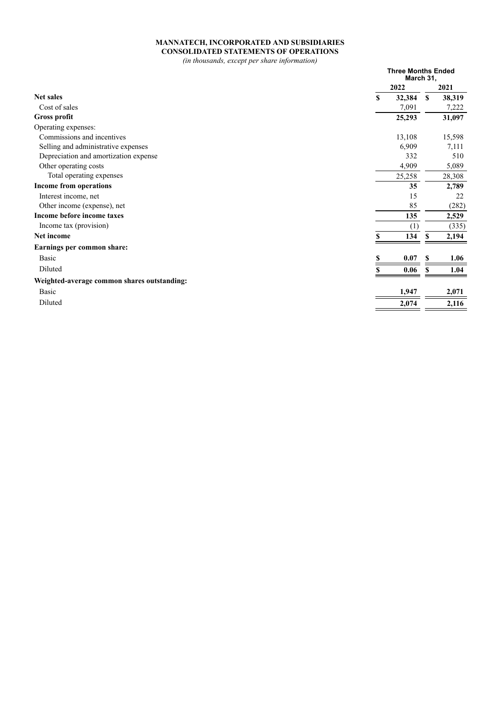# **MANNATECH, INCORPORATED AND SUBSIDIARIES CONSOLIDATED STATEMENTS OF OPERATIONS**

*(in thousands, except per share information)*

|                                             |    | <b>Three Months Ended</b><br>March 31, |              |        |
|---------------------------------------------|----|----------------------------------------|--------------|--------|
|                                             |    | 2022                                   |              | 2021   |
| <b>Net sales</b>                            | \$ | 32,384                                 | $\mathbf{s}$ | 38,319 |
| Cost of sales                               |    | 7,091                                  |              | 7,222  |
| <b>Gross profit</b>                         |    | 25,293                                 |              | 31,097 |
| Operating expenses:                         |    |                                        |              |        |
| Commissions and incentives                  |    | 13,108                                 |              | 15,598 |
| Selling and administrative expenses         |    | 6,909                                  |              | 7,111  |
| Depreciation and amortization expense       |    | 332                                    |              | 510    |
| Other operating costs                       |    | 4,909                                  |              | 5,089  |
| Total operating expenses                    |    | 25,258                                 |              | 28,308 |
| Income from operations                      |    | 35                                     |              | 2,789  |
| Interest income, net                        |    | 15                                     |              | 22     |
| Other income (expense), net                 |    | 85                                     |              | (282)  |
| Income before income taxes                  |    | 135                                    |              | 2,529  |
| Income tax (provision)                      |    | (1)                                    |              | (335)  |
| Net income                                  |    | 134                                    | S            | 2,194  |
| Earnings per common share:                  |    |                                        |              |        |
| Basic                                       | S  | 0.07                                   | S            | 1.06   |
| Diluted                                     |    | 0.06                                   | S            | 1.04   |
| Weighted-average common shares outstanding: |    |                                        |              |        |
| Basic                                       |    | 1,947                                  |              | 2,071  |
| Diluted                                     |    | 2,074                                  |              | 2,116  |